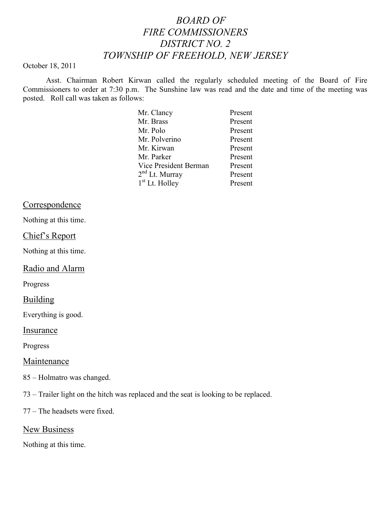# *BOARD OF FIRE COMMISSIONERS DISTRICT NO. 2 TOWNSHIP OF FREEHOLD, NEW JERSEY*

#### October 18, 2011

Asst. Chairman Robert Kirwan called the regularly scheduled meeting of the Board of Fire Commissioners to order at 7:30 p.m. The Sunshine law was read and the date and time of the meeting was posted. Roll call was taken as follows:

| Mr. Clancy                 | Present |
|----------------------------|---------|
| Mr. Brass                  | Present |
| Mr. Polo                   | Present |
| Mr. Polverino              | Present |
| Mr. Kirwan                 | Present |
| Mr. Parker                 | Present |
| Vice President Berman      | Present |
| $2nd$ Lt. Murray           | Present |
| 1 <sup>st</sup> Lt. Holley | Present |

### Correspondence

Nothing at this time.

#### Chief's Report

Nothing at this time.

# Radio and Alarm

Progress

### Building

Everything is good.

Insurance

Progress

### Maintenance

- 85 Holmatro was changed.
- 73 Trailer light on the hitch was replaced and the seat is looking to be replaced.

77 – The headsets were fixed.

## New Business

Nothing at this time.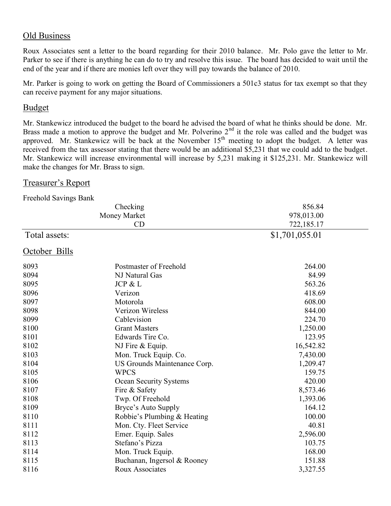# Old Business

Roux Associates sent a letter to the board regarding for their 2010 balance. Mr. Polo gave the letter to Mr. Parker to see if there is anything he can do to try and resolve this issue. The board has decided to wait until the end of the year and if there are monies left over they will pay towards the balance of 2010.

Mr. Parker is going to work on getting the Board of Commissioners a 501c3 status for tax exempt so that they can receive payment for any major situations.

#### Budget

Mr. Stankewicz introduced the budget to the board he advised the board of what he thinks should be done. Mr. Brass made a motion to approve the budget and Mr. Polverino  $2<sup>nd</sup>$  it the role was called and the budget was approved. Mr. Stankewicz will be back at the November  $15<sup>th</sup>$  meeting to adopt the budget. A letter was received from the tax assessor stating that there would be an additional \$5,231 that we could add to the budget. Mr. Stankewicz will increase environmental will increase by 5,231 making it \$125,231. Mr. Stankewicz will make the changes for Mr. Brass to sign.

#### Treasurer's Report

| Freehold Savings Bank |                              |                |  |
|-----------------------|------------------------------|----------------|--|
|                       | Checking                     | 856.84         |  |
|                       | Money Market                 | 978,013.00     |  |
|                       | CD                           | 722,185.17     |  |
| Total assets:         |                              | \$1,701,055.01 |  |
| October Bills         |                              |                |  |
| 8093                  | Postmaster of Freehold       | 264.00         |  |
| 8094                  | NJ Natural Gas               | 84.99          |  |
| 8095                  | JCP & L                      | 563.26         |  |
| 8096                  | Verizon                      | 418.69         |  |
| 8097                  | Motorola                     | 608.00         |  |
| 8098                  | Verizon Wireless             | 844.00         |  |
| 8099                  | Cablevision                  | 224.70         |  |
| 8100                  | <b>Grant Masters</b>         | 1,250.00       |  |
| 8101                  | Edwards Tire Co.             | 123.95         |  |
| 8102                  | NJ Fire & Equip.             | 16,542.82      |  |
| 8103                  | Mon. Truck Equip. Co.        | 7,430.00       |  |
| 8104                  | US Grounds Maintenance Corp. | 1,209.47       |  |
| 8105                  | <b>WPCS</b>                  | 159.75         |  |
| 8106                  | Ocean Security Systems       | 420.00         |  |
| 8107                  | Fire & Safety                | 8,573.46       |  |
| 8108                  | Twp. Of Freehold             | 1,393.06       |  |
| 8109                  | Bryce's Auto Supply          | 164.12         |  |
| 8110                  | Robbie's Plumbing & Heating  | 100.00         |  |
| 8111                  | Mon. Cty. Fleet Service      | 40.81          |  |
| 8112                  | Emer. Equip. Sales           | 2,596.00       |  |
| 8113                  | Stefano's Pizza              | 103.75         |  |
| 8114                  | Mon. Truck Equip.            | 168.00         |  |
| 8115                  | Buchanan, Ingersol & Rooney  | 151.88         |  |
| 8116                  | Roux Associates              | 3,327.55       |  |